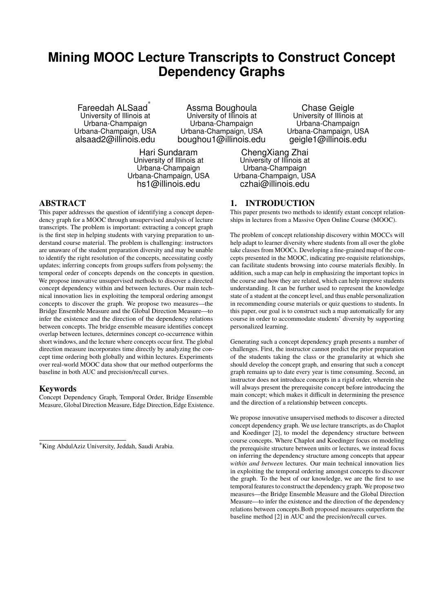# **Mining MOOC Lecture Transcripts to Construct Concept Dependency Graphs**

Fareedah ALSaad<sup>\*</sup> University of Illinois at Urbana-Champaign Urbana-Champaign, USA alsaad2@illinois.edu

Assma Boughoula University of Illinois at Urbana-Champaign Urbana-Champaign, USA boughou1@illinois.edu

Hari Sundaram University of Illinois at Urbana-Champaign Urbana-Champaign, USA hs1@illinois.edu

Chase Geigle University of Illinois at Urbana-Champaign Urbana-Champaign, USA geigle1@illinois.edu

ChengXiang Zhai University of Illinois at Urbana-Champaign Urbana-Champaign, USA czhai@illinois.edu

# ABSTRACT

This paper addresses the question of identifying a concept dependency graph for a MOOC through unsupervised analysis of lecture transcripts. The problem is important: extracting a concept graph is the first step in helping students with varying preparation to understand course material. The problem is challenging: instructors are unaware of the student preparation diversity and may be unable to identify the right resolution of the concepts, necessitating costly updates; inferring concepts from groups suffers from polysemy; the temporal order of concepts depends on the concepts in question. We propose innovative unsupervised methods to discover a directed concept dependency within and between lectures. Our main technical innovation lies in exploiting the temporal ordering amongst concepts to discover the graph. We propose two measures—the Bridge Ensemble Measure and the Global Direction Measure—to infer the existence and the direction of the dependency relations between concepts. The bridge ensemble measure identifies concept overlap between lectures, determines concept co-occurrence within short windows, and the lecture where concepts occur first. The global direction measure incorporates time directly by analyzing the concept time ordering both globally and within lectures. Experiments over real-world MOOC data show that our method outperforms the baseline in both AUC and precision/recall curves.

# Keywords

Concept Dependency Graph, Temporal Order, Bridge Ensemble Measure, Global Direction Measure, Edge Direction, Edge Existence.

# 1. INTRODUCTION

This paper presents two methods to identify extant concept relationships in lectures from a Massive Open Online Course (MOOC).

The problem of concept relationship discovery within MOCCs will help adapt to learner diversity where students from all over the globe take classes from MOOCs. Developing a fine-grained map of the concepts presented in the MOOC, indicating pre-requisite relationships, can facilitate students browsing into course materials flexibly. In addition, such a map can help in emphasizing the important topics in the course and how they are related, which can help improve students understanding. It can be further used to represent the knowledge state of a student at the concept level, and thus enable personalization in recommending course materials or quiz questions to students. In this paper, our goal is to construct such a map automatically for any course in order to accommodate students' diversity by supporting personalized learning.

Generating such a concept dependency graph presents a number of challenges. First, the instructor cannot predict the prior preparation of the students taking the class or the granularity at which she should develop the concept graph, and ensuring that such a concept graph remains up to date every year is time consuming. Second, an instructor does not introduce concepts in a rigid order, wherein she will always present the prerequisite concept before introducing the main concept; which makes it difficult in determining the presence and the direction of a relationship between concepts.

We propose innovative unsupervised methods to discover a directed concept dependency graph. We use lecture transcripts, as do Chaplot and Koedinger [2], to model the dependency structure between course concepts. Where Chaplot and Koedinger focus on modeling the prerequisite structure between units or lectures, we instead focus on inferring the dependency structure among concepts that appear *within and between* lectures. Our main technical innovation lies in exploiting the temporal ordering amongst concepts to discover the graph. To the best of our knowledge, we are the first to use temporal features to construct the dependency graph. We propose two measures—the Bridge Ensemble Measure and the Global Direction Measure—to infer the existence and the direction of the dependency relations between concepts.Both proposed measures outperform the baseline method [2] in AUC and the precision/recall curves.

<sup>∗</sup>King AbdulAziz University, Jeddah, Saudi Arabia.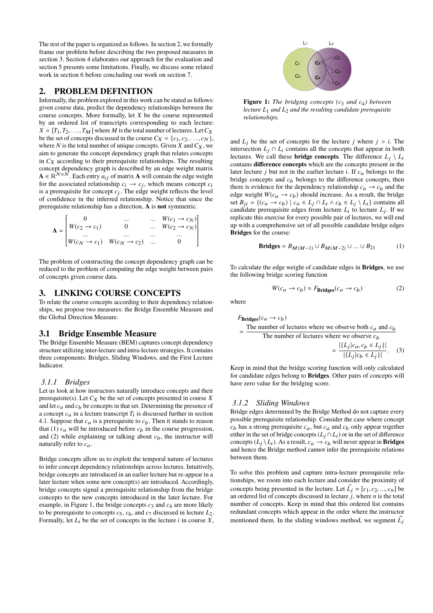The rest of the paper is organized as follows. In section 2, we formally frame our problem before describing the two proposed measures in section 3. Section 4 elaborates our approach for the evaluation and section 5 presents some limitations. Finally, we discuss some related work in section 6 before concluding our work on section 7.

## 2. PROBLEM DEFINITION

Informally, the problem explored in this work can be stated as follows: given course data, predict the dependency relationships between the course concepts. More formally, let *X* be the course represented by an ordered list of transcripts corresponding to each lecture:  $X = [T_1, T_2, \ldots, T_M]$  where *M* is the total number of lectures. Let  $C_X$ be the set of concepts discussed in the course  $C_X = \{c_1, c_2, \ldots, c_N\}$ , where  $N$  is the total number of unique concepts. Given  $X$  and  $C_X$ , we aim to generate the concept dependency graph that relates concepts in  $C_X$  according to their prerequisite relationships. The resulting concept dependency graph is described by an edge weight matrix  $\mathbf{A} \in \mathbb{R}^{N \times N}$ . Each entry  $a_{ij}$  of matrix **A** will contain the edge weight for the associated relationship  $c_i \rightarrow c_j$ , which means concept  $c_i$ is a prerequisite for concept *c*j . The edge weight reflects the level of confidence in the inferred relationship. Notice that since the prerequisite relationship has a direction, **A** is **not** symmetric.

$$
\mathbf{A} = \begin{bmatrix} 0 & \dots & \dots & W(c_1 \to c_N) \\ W(c_2 \to c_1) & 0 & \dots & W(c_2 \to c_N) \\ \dots & \dots & \dots & \dots & \dots \\ W(c_N \to c_1) & W(c_N \to c_2) & \dots & 0 \end{bmatrix}
$$

The problem of constructing the concept dependency graph can be reduced to the problem of computing the edge weight between pairs of concepts given course data.

## 3. LINKING COURSE CONCEPTS

To relate the course concepts according to their dependency relationships, we propose two measures: the Bridge Ensemble Measure and the Global Direction Measure.

#### 3.1 Bridge Ensemble Measure

The Bridge Ensemble Measure (BEM) captures concept dependency structure utilizing inter-lecture and intra-lecture strategies. It contains three components: Bridges, Sliding Windows, and the First Lecture Indicator.

#### *3.1.1 Bridges*

Let us look at how instructors naturally introduce concepts and their prerequisite(s). Let  $C_X$  be the set of concepts presented in course  $X$ and let  $c_a$  and  $c_b$  be concepts in that set. Determining the presence of a concept  $c_a$  in a lecture transcript  $T_i$  is discussed further in section 4.1. Suppose that  $c_a$  is a prerequisite to  $c_b$ . Then it stands to reason that (1)  $c_a$  will be introduced before  $c_b$  in the course progression, and (2) while explaining or talking about  $c<sub>b</sub>$ , the instructor will naturally refer to *c*a.

Bridge concepts allow us to exploit the temporal nature of lectures to infer concept dependency relationships across lectures. Intuitively, bridge concepts are introduced in an earlier lecture but re-appear in a later lecture when some new concept(s) are introduced. Accordingly, bridge concepts signal a prerequisite relationship from the bridge concepts to the new concepts introduced in the later lecture. For example, in Figure 1, the bridge concepts  $c_3$  and  $c_4$  are more likely to be prerequisite to concepts  $c_5$ ,  $c_6$ , and  $c_7$  discussed in lecture  $L_2$ . Formally, let  $L_i$  be the set of concepts in the lecture  $i$  in course  $X$ ,



**Figure 1:** *The bridging concepts (c*<sup>3</sup> *and c*4*) between lecture L*<sup>1</sup> *and L*<sup>2</sup> *and the resulting candidate prerequisite relationships.*

and  $L_j$  be the set of concepts for the lecture *j* where  $j > i$ . The intersection  $L_i \cap L_i$  contains all the concepts that appear in both lectures. We call these **bridge concepts**. The difference  $L_i \setminus L_i$ contains **difference concepts** which are the concepts present in the later lecture  $j$  but not in the earlier lecture  $i$ . If  $c_a$  belongs to the bridge concepts and *c*<sup>b</sup> belongs to the difference concepts, then there is evidence for the dependency relationship  $c_a \rightarrow c_b$  and the edge weight  $W(c_a \rightarrow c_b)$  should increase. As a result, the bridge set *B<sub>ji</sub>* = {(*c<sub>a</sub>* → *c<sub>b</sub>*) | *c<sub>a</sub>* ∈ *L<sub>j</sub>* ∩ *L<sub>i</sub>* ∧ *c<sub>b</sub>* ∈ *L<sub>j</sub>* ∖ *L<sub>i</sub>*} contains all candidate prerequisite edges from lecture  $L_i$  to lecture  $L_j$ . If we replicate this exercise for every possible pair of lectures, we will end up with a comprehensive set of all possible candidate bridge edges **Bridges** for the course:

**Bridges** = 
$$
B_{M(M-1)} \cup B_{M(M-2)} \cup ... \cup B_{21}
$$
 (1)

To calculate the edge weight of candidate edges in **Bridges**, we use the following bridge scoring function

$$
W(c_a \to c_b) \approx F_{\text{Bridges}}(c_a \to c_b)
$$
 (2)

where

$$
F_{\text{Bridges}}(c_a \to c_b)
$$
  
= The number of lectures where we observe both  $c_a$  and  $c_b$   
The number of lectures where we observe  $c_b$   
= 
$$
\frac{|\{L_j|c_a, c_b \in L_j\}|}{|\{L_j|c_b \in L_j\}|}.
$$
 (3)

Keep in mind that the bridge scoring function will only calculated for candidate edges belong to **Bridges**. Other pairs of concepts will have zero value for the bridging score.

#### *3.1.2 Sliding Windows*

Bridge edges determined by the Bridge Method do not capture every possible prerequisite relationship. Consider the case where concept  $c_b$  has a strong prerequisite  $c_a$ , but  $c_a$  and  $c_b$  only appear together either in the set of bridge concepts  $(L_j \cap L_i)$  or in the set of difference concepts  $(L_j \setminus L_i)$ . As a result,  $c_a \rightarrow c_b$  will never appear in **Bridges** and hence the Bridge method cannot infer the prerequisite relations between them.

To solve this problem and capture intra-lecture prerequisite relationships, we zoom into each lecture and consider the proximity of concepts being presented in the lecture. Let  $\vec{L}_j = [c_1, c_2, ..., c_n]$  be an ordered list of concepts discussed in lecture *i* where *n* is the total an ordered list of concepts discussed in lecture *j*, where *n* is the total number of concepts. Keep in mind that this ordered list contains redundant concepts which appear in the order where the instructor mentioned them. In the sliding windows method, we segment  $\vec{L}_j$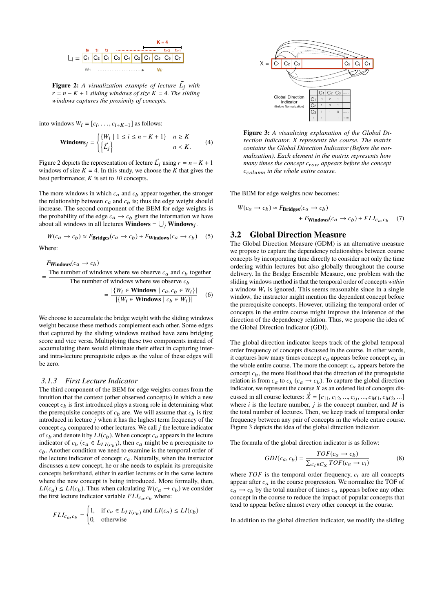

**Figure 2:** A visualization example of lecture  $\vec{L_j}$  with  $r = n - K + 1$  *sliding windows of size*  $K = 4$ *. The sliding windows captures the proximity of concepts.*

into windows  $W_i = [c_i, \ldots, c_{i+K-1}]$  as follows:

$$
\text{Windows}_{j} = \begin{cases} \{W_{i} \mid 1 \leq i \leq n - K + 1\} & n \geq K \\ \left\{\vec{L}_{j}\right\} & n < K. \end{cases} \tag{4}
$$

Figure 2 depicts the representation of lecture  $\vec{L_j}$  using  $r = n - K + 1$ windows of size  $K = 4$ . In this study, we choose the *K* that gives the best performance; *K* is set to *10* concepts.

The more windows in which  $c_a$  and  $c_b$  appear together, the stronger the relationship between  $c_a$  and  $c_b$  is; thus the edge weight should increase. The second component of the BEM for edge weights is the probability of the edge  $c_a \rightarrow c_b$  given the information we have about all windows in all lectures **Windows** =  $\bigcup_j$  **Windows** $_j$ .

$$
W(c_a \to c_b) \approx F_{\text{Bridges}}(c_a \to c_b) + F_{\text{Windows}}(c_a \to c_b) \quad (5)
$$

Where:

 $F_{\text{Windows}}(c_a \rightarrow c_b)$ = The number of windows where we observe  $c_a$  and  $c_b$  together The number of windows where we observe  $c<sub>b</sub>$ 

$$
= \frac{|\{W_i \in \text{Windows} \mid c_a, c_b \in W_i\}|}{|\{W_i \in \text{Windows} \mid c_b \in W_i\}|} \quad (6)
$$

We choose to accumulate the bridge weight with the sliding windows weight because these methods complement each other. Some edges that captured by the sliding windows method have zero bridging score and vice versa. Multiplying these two components instead of accumulating them would eliminate their effect in capturing interand intra-lecture prerequisite edges as the value of these edges will be zero.

#### *3.1.3 First Lecture Indicator*

The third component of the BEM for edge weights comes from the intuition that the context (other observed concepts) in which a new concept  $c<sub>b</sub>$  is first introduced plays a strong role in determining what the prerequisite concepts of  $c<sub>b</sub>$  are. We will assume that  $c<sub>b</sub>$  is first introduced in lecture *j* when it has the highest term frequency of the concept  $c_b$  compared to other lectures. We call  $j$  the lecture indicator of  $c_b$  and denote it by  $LI(c_b)$ . When concept  $c_a$  appears in the lecture indicator of  $c_b$  ( $c_a \in L_{LI(c_b)}$ ), then  $c_a$  might be a prerequisite to *c*b. Another condition we need to examine is the temporal order of the lecture indicator of concept  $c_a$ . Naturally, when the instructor discusses a new concept, he or she needs to explain its prerequisite concepts beforehand, either in earlier lectures or in the same lecture where the new concept is being introduced. More formally, then,  $LI(c_a) \leq LI(c_b)$ . Thus when calculating  $W(c_a \rightarrow c_b)$  we consider the first lecture indicator variable  $FLI_{c_a,c_b}$  where:

$$
FLI_{c_a, c_b} = \begin{cases} 1, & \text{if } c_a \in L_{LI(c_b)} \text{ and } LI(c_a) \le LI(c_b) \\ 0, & \text{otherwise} \end{cases}
$$



**Figure 3:** *A visualizing explanation of the Global Direction Indicator. X represents the course. The matrix contains the Global Direction Indicator (Before the normalization). Each element in the matrix represents how many times the concept*  $c_{row}$  *appears before the concept c*column *in the whole entire course.*

The BEM for edge weights now becomes:

$$
W(c_a \to c_b) \approx F_{\text{Bridges}}(c_a \to c_b)
$$
  
+  $F_{\text{Windows}}(c_a \to c_b) + FLI_{c_a, c_b}$  (7)

# 3.2 Global Direction Measure

The Global Direction Measure (GDM) is an alternative measure we propose to capture the dependency relationships between course concepts by incorporating time directly to consider not only the time ordering within lectures but also globally throughout the course delivery. In the Bridge Ensemble Measure, one problem with the sliding windows method is that the temporal order of concepts *within* a window  $W_i$  is ignored. This seems reasonable since in a single window, the instructor might mention the dependent concept before the prerequisite concepts. However, utilizing the temporal order of concepts in the entire course might improve the inference of the direction of the dependency relation. Thus, we propose the idea of the Global Direction Indicator (GDI).

The global direction indicator keeps track of the global temporal order frequency of concepts discussed in the course. In other words, it captures how many times concept  $c_a$  appears before concept  $c_b$  in the whole entire course. The more the concept  $c_a$  appears before the concept  $c<sub>b</sub>$ , the more likelihood that the direction of the prerequisite relation is from  $c_a$  to  $c_b$  ( $c_a \rightarrow c_b$ ). To capture the global direction indicator, we represent the course  $\overline{X}$  as an ordered list of concepts discussed in all course lectures:  $\vec{X} = [c_{11}, c_{12}, ..., c_{ij}, ..., c_{M1}, c_{M2}, ...]$ where  $i$  is the lecture number,  $j$  is the concept number, and  $M$  is the total number of lectures. Then, we keep track of temporal order frequency between any pair of concepts in the whole entire course. Figure 3 depicts the idea of the global direction indicator.

The formula of the global direction indicator is as follow:

$$
GDI(c_a, c_b) = \frac{TOF(c_a \rightarrow c_b)}{\sum_{c_i \in C_X} TOF(c_a \rightarrow c_i)} \tag{8}
$$

where  $TOF$  is the temporal order frequency,  $c_i$  are all concepts appear after  $c_a$  in the course progression. We normalize the TOF of  $c_a \rightarrow c_b$  by the total number of times  $c_a$  appears before any other concept in the course to reduce the impact of popular concepts that tend to appear before almost every other concept in the course.

In addition to the global direction indicator, we modify the sliding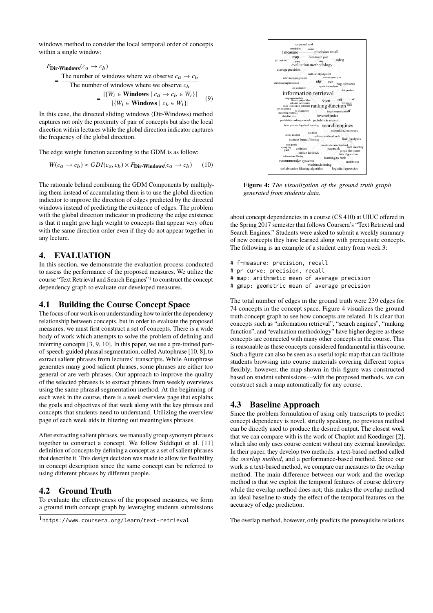windows method to consider the local temporal order of concepts within a single window:

$$
\text{FDir-Windows}(c_a \rightarrow c_b) = \frac{\text{The number of windows where we observe } c_a \rightarrow c_b}{\text{The number of windows where we observe } c_b} = \frac{|\{W_i \in \text{Windows} \mid c_a \rightarrow c_b \in W_i\}|}{|\{W_i \in \text{Windows} \mid c_b \in W_i\}|} \tag{9}
$$

In this case, the directed sliding windows (Dir-Windows) method captures not only the proximity of pair of concepts but also the local direction within lectures while the global direction indicator captures the frequency of the global direction.

The edge weight function according to the GDM is as follow:

$$
W(c_a \to c_b) \approx GDI(c_a, c_b) \times F
$$
Dir-Windows $(c_a \to c_b)$  (10)

The rationale behind combining the GDM Components by multiplying them instead of accumulating them is to use the global direction indicator to improve the direction of edges predicted by the directed windows instead of predicting the existence of edges. The problem with the global direction indicator in predicting the edge existence is that it might give high weight to concepts that appear very often with the same direction order even if they do not appear together in any lecture.

## 4. EVALUATION

In this section, we demonstrate the evaluation process conducted to assess the performance of the proposed measures. We utilize the course "Text Retrieval and Search Engines"1 to construct the concept dependency graph to evaluate our developed measures.

## 4.1 Building the Course Concept Space

The focus of our workis on understanding how to inferthe dependency relationship between concepts, but in order to evaluate the proposed measures, we must first construct a set of concepts. There is a wide body of work which attempts to solve the problem of defining and inferring concepts [3, 9, 10]. In this paper, we use a pre-trained partof-speech-guided phrasal segmentation, called Autophrase [10, 8], to extract salient phrases from lectures' transcripts. While Autophrase generates many good salient phrases, some phrases are either too general or are verb phrases. Our approach to improve the quality of the selected phrases is to extract phrases from weekly overviews using the same phrasal segmentation method. At the beginning of each week in the course, there is a week overview page that explains the goals and objectives of that week along with the key phrases and concepts that students need to understand. Utilizing the overview page of each week aids in filtering out meaningless phrases.

After extracting salient phrases, we manually group synonym phrases together to construct a concept. We follow Siddiqui et al. [11] definition of concepts by defining a concept as a set of salient phrases that describe it. This design decision was made to allow for flexibility in concept description since the same concept can be referred to using different phrases by different people.

# 4.2 Ground Truth

To evaluate the effectiveness of the proposed measures, we form a ground truth concept graph by leveraging students submissions



**Figure 4:** *The visualization of the ground truth graph generated from students data.*

about concept dependencies in a course (CS 410) at UIUC offered in the Spring 2017 semester that follows Coursera's "Text Retrieval and Search Engines." Students were asked to submit a weekly summary of new concepts they have learned along with prerequisite concepts. The following is an example of a student entry from week 3:

- # f-measure: precision, recall
- # pr curve: precision, recall
- # map: arithmetic mean of average precision
- # gmap: geometric mean of average precision

The total number of edges in the ground truth were 239 edges for 74 concepts in the concept space. Figure 4 visualizes the ground truth concept graph to see how concepts are related. It is clear that concepts such as "information retrieval", "search engines", "ranking function", and "evaluation methodology" have higher degree as these concepts are connected with many other concepts in the course. This is reasonable as these concepts considered fundamental in this course. Such a figure can also be seen as a useful topic map that can facilitate students browsing into course materials covering different topics flexibly; however, the map shown in this figure was constructed based on student submissions—with the proposed methods, we can construct such a map automatically for any course.

## 4.3 Baseline Approach

Since the problem formulation of using only transcripts to predict concept dependency is novel, strictly speaking, no previous method can be directly used to produce the desired output. The closest work that we can compare with is the work of Chaplot and Koedinger [2], which also only uses course content without any external knowledge. In their paper, they develop two methods: a text-based method called the *overlap method*, and a performance-based method. Since our work is a text-based method, we compare our measures to the overlap method. The main difference between our work and the overlap method is that we exploit the temporal features of course delivery while the overlap method does not; this makes the overlap method an ideal baseline to study the effect of the temporal features on the accuracy of edge prediction.

The overlap method, however, only predicts the prerequisite relations

<sup>1</sup>https://www.coursera.org/learn/text-retrieval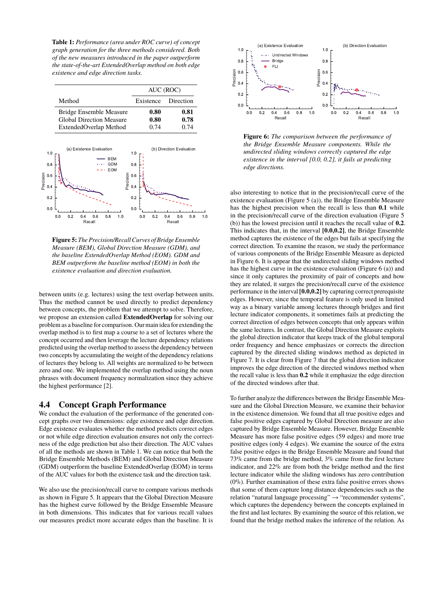**Table 1:** *Performance (area under ROC curve) of concept graph generation for the three methods considered. Both of the new measures introduced in the paper outperform the state-of-the-art ExtendedOverlap method on both edge existence and edge direction tasks.*



**Figure 5:** *The Precision/Recall Curves of Bridge Ensemble Measure (BEM), Global Direction Measure (GDM), and the baseline ExtendedOverlap Method (EOM). GDM and BEM outperform the baseline method (EOM) in both the existence evaluation and direction evaluation.*

between units (e.g. lectures) using the text overlap between units. Thus the method cannot be used directly to predict dependency between concepts, the problem that we attempt to solve. Therefore, we propose an extension called **ExtendedOverlap** for solving our problem as a baseline for comparison. Our main idea for extending the overlap method is to first map a course to a set of lectures where the concept occurred and then leverage the lecture dependency relations predicted using the overlap method to assess the dependency between two concepts by accumulating the weight of the dependency relations of lectures they belong to. All weights are normalized to be between zero and one. We implemented the overlap method using the noun phrases with document frequency normalization since they achieve the highest performance [2].

# 4.4 Concept Graph Performance

We conduct the evaluation of the performance of the generated concept graphs over two dimensions: edge existence and edge direction. Edge existence evaluates whether the method predicts correct edges or not while edge direction evaluation ensures not only the correctness of the edge prediction but also their direction. The AUC values of all the methods are shown in Table 1. We can notice that both the Bridge Ensemble Methods (BEM) and Global Direction Measure (GDM) outperform the baseline ExtendedOverlap (EOM) in terms of the AUC values for both the existence task and the direction task.

We also use the precision/recall curve to compare various methods as shown in Figure 5. It appears that the Global Direction Measure has the highest curve followed by the Bridge Ensemble Measure in both dimensions. This indicates that for various recall values our measures predict more accurate edges than the baseline. It is



**Figure 6:** *The comparison between the performance of the Bridge Ensemble Measure components. While the undirected sliding windows correctly captured the edge existence in the interval [0.0, 0.2], it fails at predicting edge directions.*

also interesting to notice that in the precision/recall curve of the existence evaluation (Figure 5 (a)), the Bridge Ensemble Measure has the highest precision when the recall is less than **0.1** while in the precision/recall curve of the direction evaluation (Figure 5 (b)) has the lowest precision until it reaches the recall value of **0.2**. This indicates that, in the interval **[0.0,0.2]**, the Bridge Ensemble method captures the existence of the edges but fails at specifying the correct direction. To examine the reason, we study the performance of various components of the Bridge Ensemble Measure as depicted in Figure 6. It is appear that the undirected sliding windows method has the highest curve in the existence evaluation (Figure 6 (a)) and since it only captures the proximity of pair of concepts and how they are related, it surges the precision/recall curve of the existence performance in the interval**[0.0,0.2]** by capturing correct prerequisite edges. However, since the temporal feature is only used in limited way as a binary variable among lectures through bridges and first lecture indicator components, it sometimes fails at predicting the correct direction of edges between concepts that only appears within the same lectures. In contrast, the Global Direction Measure exploits the global direction indicator that keeps track of the global temporal order frequency and hence emphasizes or corrects the direction captured by the directed sliding windows method as depicted in Figure 7. It is clear from Figure 7 that the global direction indicator improves the edge direction of the directed windows method when the recall value is less than **0.2** while it emphasize the edge direction of the directed windows after that.

To further analyze the differences between the Bridge Ensemble Measure and the Global Direction Measure, we examine their behavior in the existence dimension. We found that all true positive edges and false positive edges captured by Global Direction measure are also captured by Bridge Ensemble Measure. However, Bridge Ensemble Measure has more false positive edges (59 edges) and more true positive edges (only 4 edges). We examine the source of the extra false positive edges in the Bridge Ensemble Measure and found that 73% came from the bridge method, 3% came from the first lecture indicator, and 22% are from both the bridge method and the first lecture indicator while the sliding windows has zero contribution  $(0\%)$ . Further examination of these extra false positive errors shows that some of them capture long distance dependencies such as the relation "natural language processing" → "recommender systems", which captures the dependency between the concepts explained in the first and last lectures. By examining the source of this relation, we found that the bridge method makes the inference of the relation. As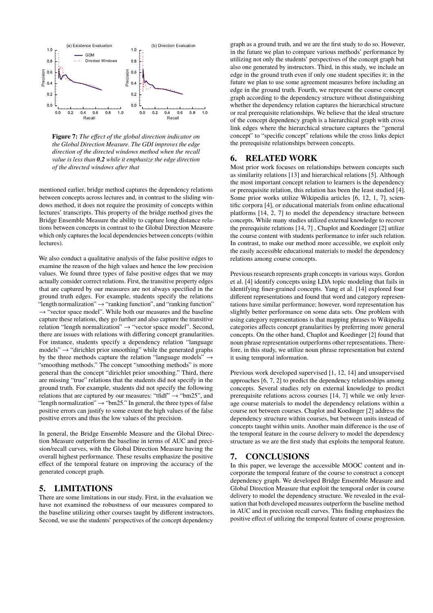

**Figure 7:** *The effect of the global direction indicator on the Global Direction Measure. The GDI improves the edge direction of the directed windows method when the recall value is less than 0.2 while it emphasize the edge direction of the directed windows after that*

mentioned earlier, bridge method captures the dependency relations between concepts across lectures and, in contrast to the sliding windows method, it does not require the proximity of concepts within lectures' transcripts. This property of the bridge method gives the Bridge Ensemble Measure the ability to capture long distance relations between concepts in contrast to the Global Direction Measure which only captures the local dependencies between concepts (within lectures).

We also conduct a qualitative analysis of the false positive edges to examine the reason of the high values and hence the low precision values. We found three types of false positive edges that we may actually consider correct relations. First, the transitive property edges that are captured by our measures are not always specified in the ground truth edges. For example, students specify the relations "length normalization"  $\rightarrow$  "ranking function", and "ranking function"  $\rightarrow$  "vector space model". While both our measures and the baseline capture these relations, they go further and also capture the transitive relation "length normalization" → "vector space model". Second, there are issues with relations with differing concept granularities. For instance, students specify a dependency relation "language models"  $\rightarrow$  "dirichlet prior smoothing" while the generated graphs by the three methods capture the relation "language models"  $\rightarrow$ "smoothing methods." The concept "smoothing methods" is more general than the concept "dirichlet prior smoothing." Third, there are missing "true" relations that the students did not specify in the ground truth. For example, students did not specify the following relations that are captured by our measures: "tfidf"  $\rightarrow$  "bm25", and "length normalization"  $\rightarrow$  "bm25." In general, the three types of false positive errors can justify to some extent the high values of the false positive errors and thus the low values of the precision.

In general, the Bridge Ensemble Measure and the Global Direction Measure outperform the baseline in terms of AUC and precision/recall curves, with the Global Direction Measure having the overall highest performance. These results emphasize the positive effect of the temporal feature on improving the accuracy of the generated concept graph.

# 5. LIMITATIONS

There are some limitations in our study. First, in the evaluation we have not examined the robustness of our measures compared to the baseline utilizing other courses taught by different instructors. Second, we use the students' perspectives of the concept dependency

graph as a ground truth, and we are the first study to do so. However, in the future we plan to compare various methods' performance by utilizing not only the students' perspectives of the concept graph but also one generated by instructors. Third, in this study, we include an edge in the ground truth even if only one student specifies it; in the future we plan to use some agreement measures before including an edge in the ground truth. Fourth, we represent the course concept graph according to the dependency structure without distinguishing whether the dependency relation captures the hierarchical structure or real prerequisite relationships. We believe that the ideal structure of the concept dependency graph is a hierarchical graph with cross link edges where the hierarchical structure captures the "general concept" to "specific concept" relations while the cross links depict the prerequisite relationships between concepts.

# 6. RELATED WORK

Most prior work focuses on relationships between concepts such as similarity relations [13] and hierarchical relations [5]. Although the most important concept relation to learners is the dependency or prerequisite relation, this relation has been the least studied [4]. Some prior works utilize Wikipedia articles [6, 12, 1, 7], scientific corpora [4], or educational materials from online educational platforms [14, 2, 7] to model the dependency structure between concepts. While many studies utilized external knowledge to recover the prerequisite relations [14, 7] , Chaplot and Koedinger [2] utilize the course content with students performance to infer such relation. In contrast, to make our method more accessible, we exploit only the easily accessible educational materials to model the dependency relations among course concepts.

Previous research represents graph concepts in various ways. Gordon et al. [4] identify concepts using LDA topic modeling that fails in identifying finer-grained concepts. Yang et al. [14] explored four different representations and found that word and category representations have similar performance; however, word representation has slightly better performance on some data sets. One problem with using category representations is that mapping phrases to Wikipedia categories affects concept granularities by preferring more general concepts. On the other hand, Chaplot and Koedinger [2] found that noun phrase representation outperforms other representations. Therefore, in this study, we utilize noun phrase representation but extend it using temporal information.

Previous work developed supervised [1, 12, 14] and unsupervised approaches [6, 7, 2] to predict the dependency relationships among concepts. Several studies rely on external knowledge to predict prerequisite relations across courses [14, 7] while we only leverage course materials to model the dependency relations within a course not between courses. Chaplot and Koedinger [2] address the dependency structure within courses, but between units instead of concepts taught within units. Another main difference is the use of the temporal feature in the course delivery to model the dependency structure as we are the first study that exploits the temporal feature.

# 7. CONCLUSIONS

In this paper, we leverage the accessible MOOC content and incorporate the temporal feature of the course to construct a concept dependency graph. We developed Bridge Ensemble Measure and Global Direction Measure that exploit the temporal order in course delivery to model the dependency structure. We revealed in the evaluation that both developed measures outperform the baseline method in AUC and in precision recall curves. This finding emphasizes the positive effect of utilizing the temporal feature of course progression.